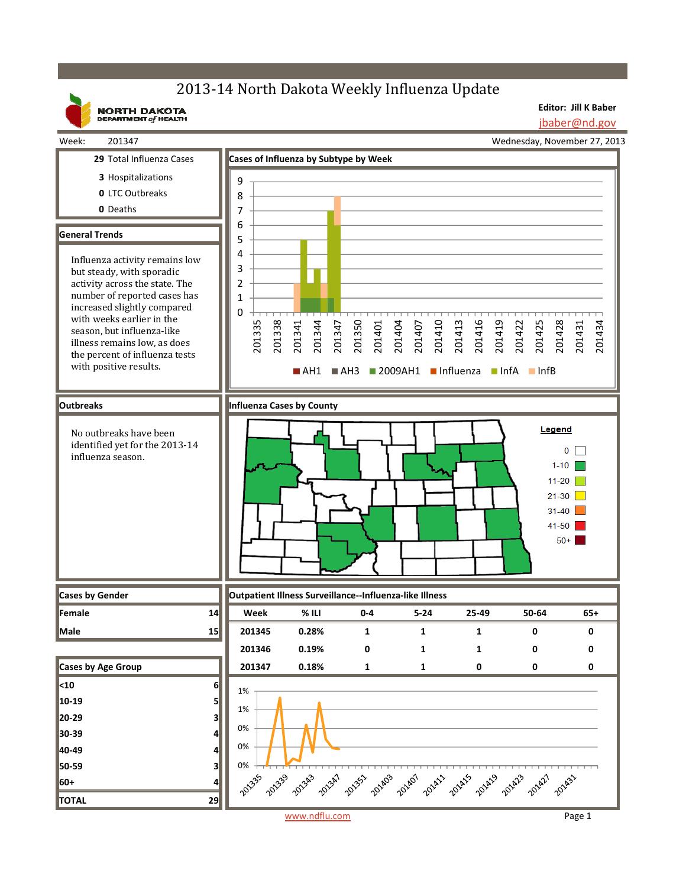